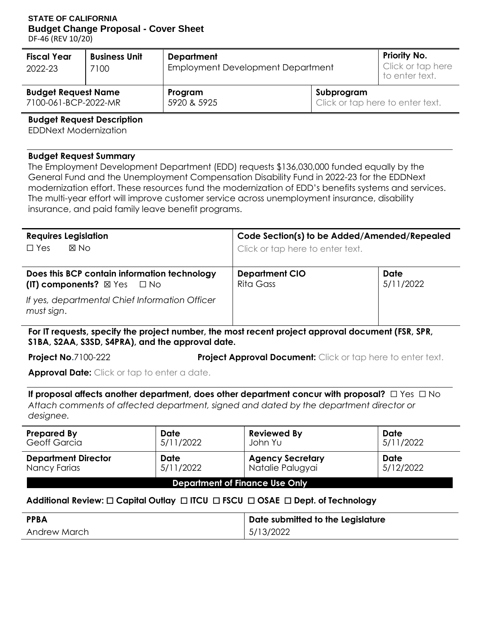# **STATE OF CALIFORNIA Budget Change Proposal - Cover Sheet**

DF-46 (REV 10/20)

| <b>Fiscal Year</b><br>2022-23                      | <b>Business Unit</b><br>7100 | <b>Department</b><br><b>Employment Development Department</b> |            | <b>Priority No.</b><br>Click or tap here<br>to enter text. |
|----------------------------------------------------|------------------------------|---------------------------------------------------------------|------------|------------------------------------------------------------|
| <b>Budget Request Name</b><br>7100-061-BCP-2022-MR |                              | Program<br>5920 & 5925                                        | Subprogram | Click or tap here to enter text.                           |

**Budget Request Description** 

EDDNext Modernization

#### **Budget Request Summary**

 General Fund and the Unemployment Compensation Disability Fund in 2022-23 for the EDDNext The multi-year effort will improve customer service across unemployment insurance, disability The Employment Development Department (EDD) requests \$136,030,000 funded equally by the modernization effort. These resources fund the modernization of EDD's benefits systems and services. insurance, and paid family leave benefit programs.

| <b>Requires Legislation</b><br>$\Box$ Yes<br>⊠ No                                            | Code Section(s) to be Added/Amended/Repealed<br>Click or tap here to enter text. |                          |  |
|----------------------------------------------------------------------------------------------|----------------------------------------------------------------------------------|--------------------------|--|
| Does this BCP contain information technology<br>$(II)$ components? $\boxtimes$ Yes $\Box$ No | <b>Department CIO</b><br>Rita Gass                                               | <b>Date</b><br>5/11/2022 |  |
| If yes, departmental Chief Information Officer<br>must sign.                                 |                                                                                  |                          |  |

**For IT requests, specify the project number, the most recent project approval document (FSR, SPR, S1BA, S2AA, S3SD, S4PRA), and the approval date.** 

**Project No.**7100-222 **Project Approval Document:** Click or tap here to enter text.

Approval Date: Click or tap to enter a date.

 **If proposal affects another department, does other department concur with proposal?** ☐ Yes ☐ No *Attach comments of affected department, signed and dated by the department director or designee.* 

| <b>Prepared By</b>             | <b>Date</b> | <b>Reviewed By</b>      | <b>Date</b> |  |  |  |
|--------------------------------|-------------|-------------------------|-------------|--|--|--|
| <b>Geoff Garcia</b>            | 5/11/2022   | John Yu                 | 5/11/2022   |  |  |  |
| <b>Department Director</b>     | <b>Date</b> | <b>Agency Secretary</b> | <b>Date</b> |  |  |  |
| Nancy Farias                   | 5/11/2022   | Natalie Palugyai        | 5/12/2022   |  |  |  |
| Department of Finance Use Only |             |                         |             |  |  |  |

# **Additional Review:** ☐ **Capital Outlay** ☐ **ITCU** ☐ **FSCU** ☐ **OSAE** ☐ **Dept. of Technology**

| <b>PPBA</b>  | Date submitted to the Legislature |
|--------------|-----------------------------------|
| Andrew March | 5/13/2022                         |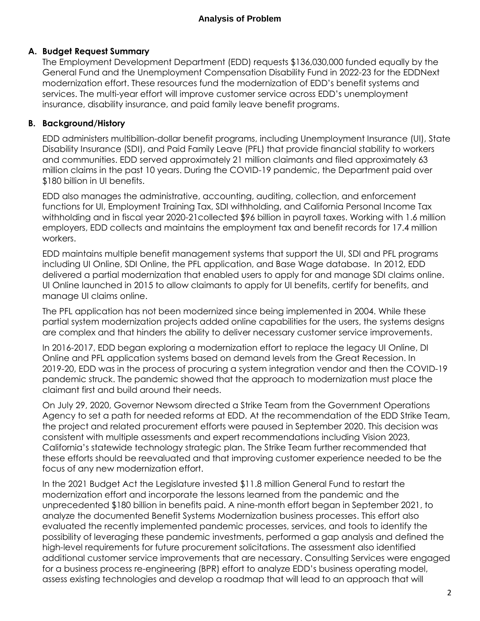# **A. Budget Request Summary**

 General Fund and the Unemployment Compensation Disability Fund in 2022-23 for the EDDNext services. The multi-year effort will improve customer service across EDD's unemployment insurance, disability insurance, and paid family leave benefit programs. The Employment Development Department (EDD) requests \$136,030,000 funded equally by the modernization effort. These resources fund the modernization of EDD's benefit systems and

### **B. Background/History**

 Disability Insurance (SDI), and Paid Family Leave (PFL) that provide financial stability to workers and communities. EDD served approximately 21 million claimants and filed approximately 63 \$180 billion in UI benefits. EDD administers multibillion-dollar benefit programs, including Unemployment Insurance (UI), State million claims in the past 10 years. During the COVID-19 pandemic, the Department paid over

 EDD also manages the administrative, accounting, auditing, collection, and enforcement functions for UI, Employment Training Tax, SDI withholding, and California Personal Income Tax withholding and in fiscal year 2020-21collected \$96 billion in payroll taxes. Working with 1.6 million employers, EDD collects and maintains the employment tax and benefit records for 17.4 million workers.

workers.<br>EDD maintains multiple benefit management systems that support the UI, SDI and PFL programs including UI Online, SDI Online, the PFL application, and Base Wage database. In 2012, EDD delivered a partial modernization that enabled users to apply for and manage SDI claims online. UI Online launched in 2015 to allow claimants to apply for UI benefits, certify for benefits, and manage UI claims online.

 The PFL application has not been modernized since being implemented in 2004. While these are complex and that hinders the ability to deliver necessary customer service improvements. partial system modernization projects added online capabilities for the users, the systems designs

 In 2016-2017, EDD began exploring a modernization effort to replace the legacy UI Online, DI Online and PFL application systems based on demand levels from the Great Recession. In 2019-20, EDD was in the process of procuring a system integration vendor and then the COVID-19 claimant first and build around their needs. pandemic struck. The pandemic showed that the approach to modernization must place the

 On July 29, 2020, Governor Newsom directed a Strike Team from the Government Operations Agency to set a path for needed reforms at EDD. At the recommendation of the EDD Strike Team, consistent with multiple assessments and expert recommendations including Vision 2023, California's statewide technology strategic plan. The Strike Team further recommended that these efforts should be reevaluated and that improving customer experience needed to be the focus of any new modernization effort. the project and related procurement efforts were paused in September 2020. This decision was

 unprecedented \$180 billion in benefits paid. A nine-month effort began in September 2021, to analyze the documented Benefit Systems Modernization business processes. This effort also evaluated the recently implemented pandemic processes, services, and tools to identify the possibility of leveraging these pandemic investments, performed a gap analysis and defined the additional customer service improvements that are necessary. Consulting Services were engaged for a business process re-engineering (BPR) effort to analyze EDD's business operating model, assess existing technologies and develop a roadmap that will lead to an approach that will In the 2021 Budget Act the Legislature invested \$11.8 million General Fund to restart the modernization effort and incorporate the lessons learned from the pandemic and the high-level requirements for future procurement solicitations. The assessment also identified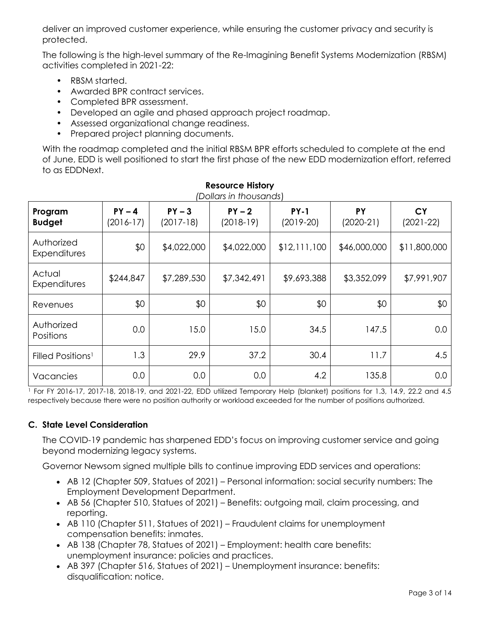deliver an improved customer experience, while ensuring the customer privacy and security is protected.

 The following is the high-level summary of the Re-Imagining Benefit Systems Modernization (RBSM) activities completed in 2021-22:

- RBSM started.
- Awarded BPR contract services.
- Completed BPR assessment.
- Developed an agile and phased approach project roadmap.
- Assessed organizational change readiness.
- Prepared project planning documents.

 With the roadmap completed and the initial RBSM BPR efforts scheduled to complete at the end of June, EDD is well positioned to start the first phase of the new EDD modernization effort, referred to as EDDNext.

|                               |                         |                         | (Dollars in thousands)  |                       |                   |                          |
|-------------------------------|-------------------------|-------------------------|-------------------------|-----------------------|-------------------|--------------------------|
| Program<br><b>Budget</b>      | $PY - 4$<br>$(2016-17)$ | $PY - 3$<br>$(2017-18)$ | $PY - 2$<br>$(2018-19)$ | $PY-1$<br>$(2019-20)$ | PY<br>$(2020-21)$ | <b>CY</b><br>$(2021-22)$ |
| Authorized<br>Expenditures    | \$0                     | \$4,022,000             | \$4,022,000             | \$12,111,100          | \$46,000,000      | \$11,800,000             |
| Actual<br>Expenditures        | \$244,847               | \$7,289,530             | \$7,342,491             | \$9,693,388           | \$3,352,099       | \$7,991,907              |
| Revenues                      | \$0                     | \$0                     | \$0                     | \$0                   | \$0               | \$0                      |
| Authorized<br>Positions       | 0.0                     | 15.0                    | 15.0                    | 34.5                  | 147.5             | 0.0                      |
| Filled Positions <sup>1</sup> | 1.3                     | 29.9                    | 37.2                    | 30.4                  | 11.7              | 4.5                      |
| Vacancies                     | 0.0                     | 0.0                     | 0.0                     | 4.2                   | 135.8             | 0.0                      |

# **Resource History**

 1 For FY 2016-17, 2017-18, 2018-19, and 2021-22, EDD utilized Temporary Help (blanket) positions for 1.3, 14.9, 22.2 and 4.5 respectively because there were no position authority or workload exceeded for the number of positions authorized.

# **C. State Level Consideration**

 The COVID-19 pandemic has sharpened EDD's focus on improving customer service and going beyond modernizing legacy systems.

Governor Newsom signed multiple bills to continue improving EDD services and operations:

- AB 12 (Chapter 509, Statues of 2021) Personal information: social security numbers: The Employment Development Department.
- AB 56 (Chapter 510, Statues of 2021) Benefits: outgoing mail, claim processing, and reporting.
- AB 110 (Chapter 511, Statues of 2021) Fraudulent claims for unemployment compensation benefits: inmates.
- AB 138 (Chapter 78, Statues of 2021) Employment: health care benefits: unemployment insurance: policies and practices.
- AB 397 (Chapter 516, Statues of 2021) Unemployment insurance: benefits: disqualification: notice.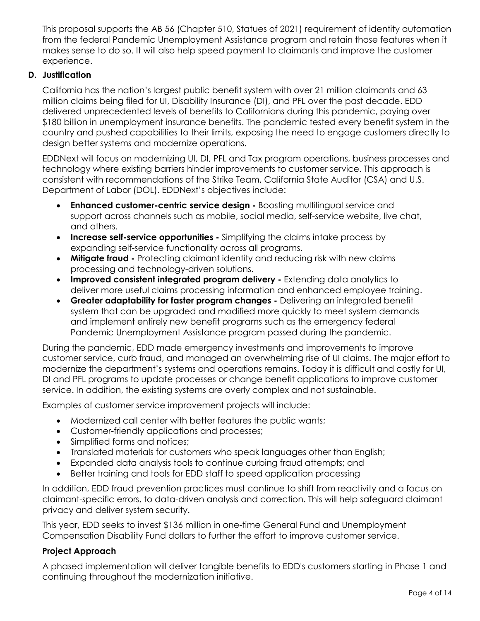This proposal supports the AB 56 (Chapter 510, Statues of 2021) requirement of identity automation from the federal Pandemic Unemployment Assistance program and retain those features when it makes sense to do so. It will also help speed payment to claimants and improve the customer experience.

# **D. Justification**

 California has the nation's largest public benefit system with over 21 million claimants and 63 million claims being filed for UI, Disability Insurance (DI), and PFL over the past decade. EDD country and pushed capabilities to their limits, exposing the need to engage customers directly to design better systems and modernize operations. delivered unprecedented levels of benefits to Californians during this pandemic, paying over \$180 billion in unemployment insurance benefits. The pandemic tested every benefit system in the

 EDDNext will focus on modernizing UI, DI, PFL and Tax program operations, business processes and technology where existing barriers hinder improvements to customer service. This approach is consistent with recommendations of the Strike Team, California State Auditor (CSA) and U.S. Department of Labor (DOL). EDDNext's objectives include:

- support across channels such as mobile, social media, self-service website, live chat, **Enhanced customer-centric service design -** Boosting multilingual service and and others.
- expanding self-service functionality across all programs. **Increase self-service opportunities -** Simplifying the claims intake process by
- **Mitigate fraud -** Protecting claimant identity and reducing risk with new claims processing and technology-driven solutions.
- **Improved consistent integrated program delivery -** Extending data analytics to deliver more useful claims processing information and enhanced employee training.
- system that can be upgraded and modified more quickly to meet system demands and implement entirely new benefit programs such as the emergency federal **Greater adaptability for faster program changes -** Delivering an integrated benefit Pandemic Unemployment Assistance program passed during the pandemic.

 customer service, curb fraud, and managed an overwhelming rise of UI claims. The major effort to modernize the department's systems and operations remains. Today it is difficult and costly for UI, During the pandemic, EDD made emergency investments and improvements to improve DI and PFL programs to update processes or change benefit applications to improve customer service. In addition, the existing systems are overly complex and not sustainable.

Examples of customer service improvement projects will include:

- Modernized call center with better features the public wants;
- Customer-friendly applications and processes;
- Simplified forms and notices;
- Translated materials for customers who speak languages other than English;
- Expanded data analysis tools to continue curbing fraud attempts; and
- Better training and tools for EDD staff to speed application processing

 In addition, EDD fraud prevention practices must continue to shift from reactivity and a focus on claimant-specific errors, to data-driven analysis and correction. This will help safeguard claimant privacy and deliver system security.

 This year, EDD seeks to invest \$136 million in one-time General Fund and Unemployment Compensation Disability Fund dollars to further the effort to improve customer service.

# **Project Approach**

A phased implementation will deliver tangible benefits to EDD's customers starting in Phase 1 and continuing throughout the modernization initiative.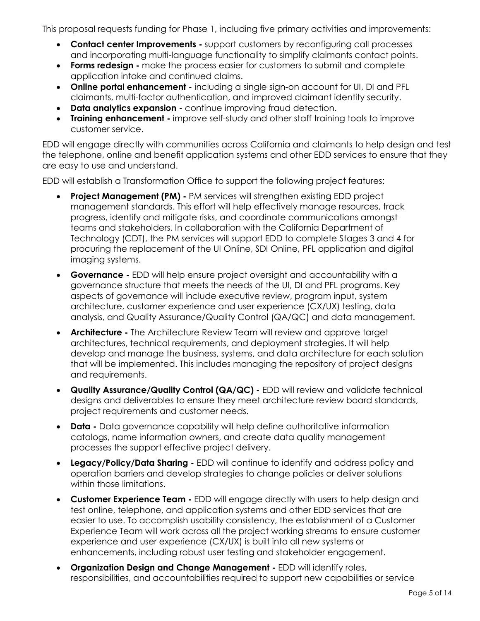This proposal requests funding for Phase 1, including five primary activities and improvements:

- **Contact center Improvements -** support customers by reconfiguring call processes and incorporating multi-language functionality to simplify claimants contact points.
- **Forms redesign -** make the process easier for customers to submit and complete application intake and continued claims.
- **Online portal enhancement -** including a single sign-on account for UI, DI and PFL claimants, multi-factor authentication, and improved claimant identity security.
- **Data analytics expansion -** continue improving fraud detection.
- **Training enhancement -** improve self-study and other staff training tools to improve customer service.

 EDD will engage directly with communities across California and claimants to help design and test the telephone, online and benefit application systems and other EDD services to ensure that they are easy to use and understand.

EDD will establish a Transformation Office to support the following project features:

- management standards. This effort will help effectively manage resources, track teams and stakeholders. In collaboration with the California Department of Technology (CDT), the PM services will support EDD to complete Stages 3 and 4 for procuring the replacement of the UI Online, SDI Online, PFL application and digital **Project Management (PM) -** PM services will strengthen existing EDD project progress, identify and mitigate risks, and coordinate communications amongst imaging systems.
- **Governance -** EDD will help ensure project oversight and accountability with a analysis, and Quality Assurance/Quality Control (QA/QC) and data management. governance structure that meets the needs of the UI, DI and PFL programs. Key aspects of governance will include executive review, program input, system architecture, customer experience and user experience (CX/UX) testing, data
- architectures, technical requirements, and deployment strategies. It will help develop and manage the business, systems, and data architecture for each solution that will be implemented. This includes managing the repository of project designs **Architecture -** The Architecture Review Team will review and approve target and requirements.
- **Quality Assurance/Quality Control (QA/QC) -** EDD will review and validate technical designs and deliverables to ensure they meet architecture review board standards, project requirements and customer needs.
- **Data -** Data governance capability will help define authoritative information catalogs, name information owners, and create data quality management processes the support effective project delivery.
- **Legacy/Policy/Data Sharing -** EDD will continue to identify and address policy and operation barriers and develop strategies to change policies or deliver solutions within those limitations.
- **Customer Experience Team -** EDD will engage directly with users to help design and test online, telephone, and application systems and other EDD services that are easier to use. To accomplish usability consistency, the establishment of a Customer Experience Team will work across all the project working streams to ensure customer experience and user experience (CX/UX) is built into all new systems or enhancements, including robust user testing and stakeholder engagement.
- **Organization Design and Change Management -** EDD will identify roles, responsibilities, and accountabilities required to support new capabilities or service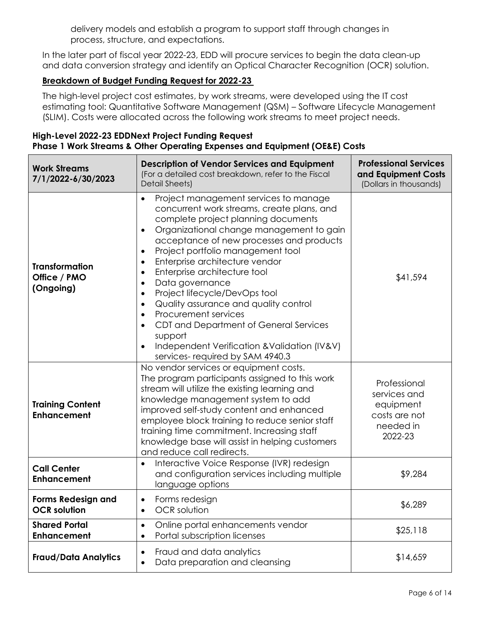delivery models and establish a program to support staff through changes in process, structure, and expectations.

 In the later part of fiscal year 2022-23, EDD will procure services to begin the data clean-up and data conversion strategy and identify an Optical Character Recognition (OCR) solution.

# **Breakdown of Budget Funding Request for 2022-23**

 (SLIM). Costs were allocated across the following work streams to meet project needs. The high-level project cost estimates, by work streams, were developed using the IT cost estimating tool: Quantitative Software Management (QSM) – Software Lifecycle Management

| High-Level 2022-23 EDDNext Project Funding Request                         |
|----------------------------------------------------------------------------|
| Phase 1 Work Streams & Other Operating Expenses and Equipment (OE&E) Costs |

| <b>Work Streams</b><br>7/1/2022-6/30/2023          | <b>Description of Vendor Services and Equipment</b><br>(For a detailed cost breakdown, refer to the Fiscal<br>Detail Sheets)                                                                                                                                                                                                                                                                                                                                                                                                                                                                                                                                                                                                          | <b>Professional Services</b><br>and Equipment Costs<br>(Dollars in thousands)      |
|----------------------------------------------------|---------------------------------------------------------------------------------------------------------------------------------------------------------------------------------------------------------------------------------------------------------------------------------------------------------------------------------------------------------------------------------------------------------------------------------------------------------------------------------------------------------------------------------------------------------------------------------------------------------------------------------------------------------------------------------------------------------------------------------------|------------------------------------------------------------------------------------|
| <b>Transformation</b><br>Office / PMO<br>(Ongoing) | Project management services to manage<br>$\bullet$<br>concurrent work streams, create plans, and<br>complete project planning documents<br>Organizational change management to gain<br>$\bullet$<br>acceptance of new processes and products<br>Project portfolio management tool<br>$\bullet$<br>Enterprise architecture vendor<br>$\bullet$<br>Enterprise architecture tool<br>$\bullet$<br>Data governance<br>$\bullet$<br>Project lifecycle/DevOps tool<br>$\bullet$<br>Quality assurance and quality control<br>$\bullet$<br>Procurement services<br>$\bullet$<br>CDT and Department of General Services<br>$\bullet$<br>support<br>Independent Verification & Validation (IV&V)<br>$\bullet$<br>services-required by SAM 4940.3 | \$41,594                                                                           |
| <b>Training Content</b><br><b>Enhancement</b>      | No vendor services or equipment costs.<br>The program participants assigned to this work<br>stream will utilize the existing learning and<br>knowledge management system to add<br>improved self-study content and enhanced<br>employee block training to reduce senior staff<br>training time commitment. Increasing staff<br>knowledge base will assist in helping customers<br>and reduce call redirects.                                                                                                                                                                                                                                                                                                                          | Professional<br>services and<br>equipment<br>costs are not<br>needed in<br>2022-23 |
| <b>Call Center</b><br><b>Enhancement</b>           | Interactive Voice Response (IVR) redesign<br>٠<br>and configuration services including multiple<br>language options                                                                                                                                                                                                                                                                                                                                                                                                                                                                                                                                                                                                                   | \$9,284                                                                            |
| <b>Forms Redesign and</b><br><b>OCR</b> solution   | Forms redesign<br>$\bullet$<br><b>OCR</b> solution<br>$\bullet$                                                                                                                                                                                                                                                                                                                                                                                                                                                                                                                                                                                                                                                                       | \$6,289                                                                            |
| <b>Shared Portal</b><br><b>Enhancement</b>         | Online portal enhancements vendor<br>$\bullet$<br>Portal subscription licenses<br>٠                                                                                                                                                                                                                                                                                                                                                                                                                                                                                                                                                                                                                                                   | \$25,118                                                                           |
| <b>Fraud/Data Analytics</b>                        | Fraud and data analytics<br>٠<br>Data preparation and cleansing<br>٠                                                                                                                                                                                                                                                                                                                                                                                                                                                                                                                                                                                                                                                                  | \$14,659                                                                           |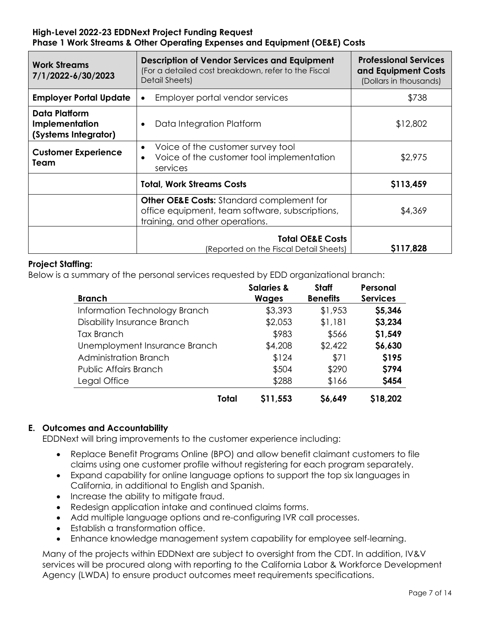# **High-Level 2022-23 EDDNext Project Funding Request Phase 1 Work Streams & Other Operating Expenses and Equipment (OE&E) Costs**

| <b>Work Streams</b><br>7/1/2022-6/30/2023               | <b>Description of Vendor Services and Equipment</b><br>(For a detailed cost breakdown, refer to the Fiscal<br>Detail Sheets)               | <b>Professional Services</b><br>and Equipment Costs<br>(Dollars in thousands) |
|---------------------------------------------------------|--------------------------------------------------------------------------------------------------------------------------------------------|-------------------------------------------------------------------------------|
| <b>Employer Portal Update</b>                           | Employer portal vendor services<br>$\bullet$                                                                                               | \$738                                                                         |
| Data Platform<br>Implementation<br>(Systems Integrator) | Data Integration Platform                                                                                                                  | \$12,802                                                                      |
| <b>Customer Experience</b><br>Team                      | Voice of the customer survey tool<br>$\bullet$<br>Voice of the customer tool implementation<br>services                                    | \$2,975                                                                       |
|                                                         | <b>Total, Work Streams Costs</b>                                                                                                           | \$113,459                                                                     |
|                                                         | <b>Other OE&amp;E Costs:</b> Standard complement for<br>office equipment, team software, subscriptions,<br>training, and other operations. | \$4,369                                                                       |
|                                                         | <b>Total OE&amp;E Costs</b><br>(Reported on the Fiscal Detail Sheets)                                                                      | \$117,828                                                                     |

# **Project Staffing:**

Below is a summary of the personal services requested by EDD organizational branch:

| <b>Branch</b>                      | <b>Salaries &amp;</b><br><b>Wages</b> | Staff<br><b>Benefits</b> | Personal<br><b>Services</b> |
|------------------------------------|---------------------------------------|--------------------------|-----------------------------|
| Information Technology Branch      | \$3,393                               | \$1,953                  | \$5,346                     |
| <b>Disability Insurance Branch</b> | \$2,053                               | \$1,181                  | \$3,234                     |
| Tax Branch                         | \$983                                 | \$566                    | \$1,549                     |
| Unemployment Insurance Branch      | \$4,208                               | \$2,422                  | \$6,630                     |
| Administration Branch              | \$124                                 | \$71                     | \$195                       |
| <b>Public Affairs Branch</b>       | \$504                                 | \$290                    | \$794                       |
| Legal Office                       | \$288                                 | \$166                    | \$454                       |
| Total                              | \$11,553                              | \$6,649                  | \$18,202                    |

#### **E. Outcomes and Accountability**

EDDNext will bring improvements to the customer experience including:

- Replace Benefit Programs Online (BPO) and allow benefit claimant customers to file claims using one customer profile without registering for each program separately.
- Expand capability for online language options to support the top six languages in California, in additional to English and Spanish.
- Increase the ability to mitigate fraud.
- Redesign application intake and continued claims forms.
- Add multiple language options and re-configuring IVR call processes.
- Establish a transformation office.
- Enhance knowledge management system capability for employee self-learning.

 Many of the projects within EDDNext are subject to oversight from the CDT. In addition, IV&V services will be procured along with reporting to the California Labor & Workforce Development Agency (LWDA) to ensure product outcomes meet requirements specifications.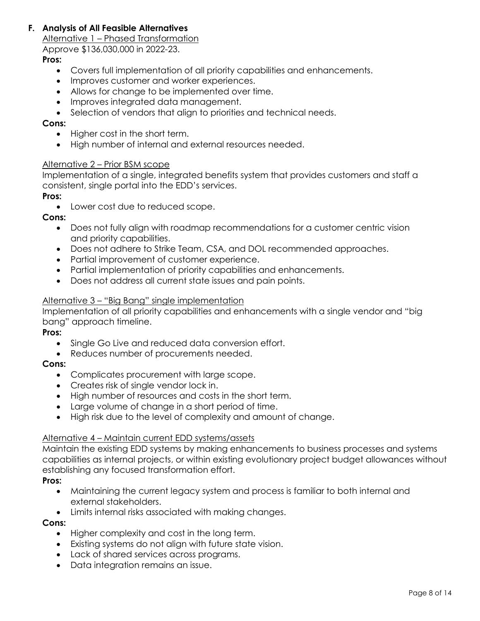# **F. Analysis of All Feasible Alternatives**

Alternative 1 – Phased Transformation

Approve \$136,030,000 in 2022-23.

# **Pros:**

- Covers full implementation of all priority capabilities and enhancements.
- Improves customer and worker experiences.
- Allows for change to be implemented over time.
- Improves integrated data management.
- Selection of vendors that align to priorities and technical needs.

#### **Cons:**

- Higher cost in the short term.
- High number of internal and external resources needed.

#### Alternative 2 – Prior BSM scope

 Implementation of a single, integrated benefits system that provides customers and staff a consistent, single portal into the EDD's services.

#### **Pros:**

• Lower cost due to reduced scope.

#### **Cons:**

- Does not fully align with roadmap recommendations for a customer centric vision and priority capabilities.
- Does not adhere to Strike Team, CSA, and DOL recommended approaches.
- Partial improvement of customer experience.
- Partial implementation of priority capabilities and enhancements.
- Does not address all current state issues and pain points.

#### Alternative 3 – "Big Bang" single implementation

 Implementation of all priority capabilities and enhancements with a single vendor and "big bang" approach timeline.

# **Pros:**

- Single Go Live and reduced data conversion effort.
- Reduces number of procurements needed.

# **Cons:**

- Complicates procurement with large scope.
- Creates risk of single vendor lock in.
- High number of resources and costs in the short term.
- Large volume of change in a short period of time.
- High risk due to the level of complexity and amount of change.

# Alternative 4 – Maintain current EDD systems/assets

 Maintain the existing EDD systems by making enhancements to business processes and systems capabilities as internal projects, or within existing evolutionary project budget allowances without establishing any focused transformation effort.

#### **Pros:**

- Maintaining the current legacy system and process is familiar to both internal and external stakeholders.
- Limits internal risks associated with making changes.

# **Cons:**

- Higher complexity and cost in the long term.
- Existing systems do not align with future state vision.
- Lack of shared services across programs.
- Data integration remains an issue.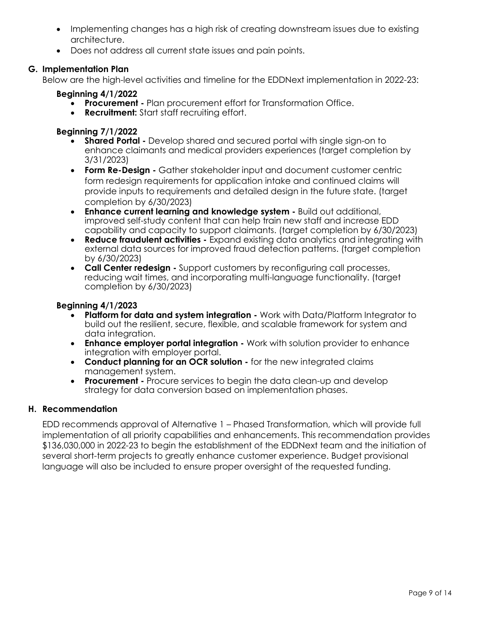- Implementing changes has a high risk of creating downstream issues due to existing architecture.
- Does not address all current state issues and pain points.

# **G. Implementation Plan**

Below are the high-level activities and timeline for the EDDNext implementation in 2022-23:

# **Beginning 4/1/2022**

- **Procurement -** Plan procurement effort for Transformation Office.
- **Recruitment:** Start staff recruiting effort.

# **Beginning 7/1/2022**

- **Shared Portal -** Develop shared and secured portal with single sign-on to enhance claimants and medical providers experiences (target completion by 3/31/2023)
- **Form Re-Design -** Gather stakeholder input and document customer centric provide inputs to requirements and detailed design in the future state. (target form redesign requirements for application intake and continued claims will completion by 6/30/2023)
- capability and capacity to support claimants. (target completion by 6/30/2023) **Enhance current learning and knowledge system -** Build out additional, improved self-study content that can help train new staff and increase EDD
- **Reduce fraudulent activities -** Expand existing data analytics and integrating with external data sources for improved fraud detection patterns. (target completion by 6/30/2023)
- **Call Center redesign -** Support customers by reconfiguring call processes, reducing wait times, and incorporating multi-language functionality. (target completion by 6/30/2023)

# **Beginning 4/1/2023**

- **Platform for data and system integration -** Work with Data/Platform Integrator to build out the resilient, secure, flexible, and scalable framework for system and data integration.
- **Enhance employer portal integration -** Work with solution provider to enhance integration with employer portal.
- **Conduct planning for an OCR solution -** for the new integrated claims management system.
- **Procurement -** Procure services to begin the data clean-up and develop strategy for data conversion based on implementation phases.

# **H. Recommendation**

 EDD recommends approval of Alternative 1 – Phased Transformation, which will provide full implementation of all priority capabilities and enhancements. This recommendation provides several short-term projects to greatly enhance customer experience. Budget provisional \$136,030,000 in 2022-23 to begin the establishment of the EDDNext team and the initiation of language will also be included to ensure proper oversight of the requested funding.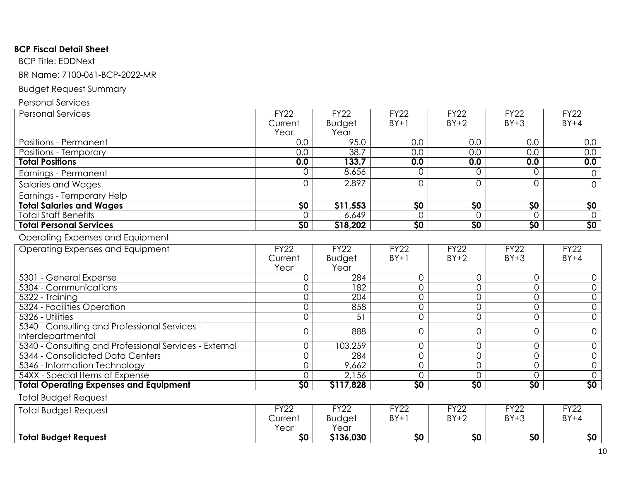# **BCP Fiscal Detail Sheet**

BCP Title: EDDNext

BR Name: 7100 -061 -BCP -2022 -MR

# Budget Request Summary

#### Personal Services

| <b>Personal Services</b>                               | FY22            | FY22            | <b>FY22</b>     | FY22            | <b>FY22</b>      | $\overline{F}$ Y22           |
|--------------------------------------------------------|-----------------|-----------------|-----------------|-----------------|------------------|------------------------------|
|                                                        | Current         | <b>Budget</b>   | $BY+1$          | $BY+2$          | $BY+3$           | $BY+4$                       |
|                                                        | Year            | Year            |                 |                 |                  |                              |
| Positions - Permanent                                  | 0.0             | 95.0            | 0.0             | 0.0             | 0.0              | 0.0                          |
| Positions - Temporary                                  | 0.0             | 38.7            | 0.0             | 0.0             | $\overline{0.0}$ | 0.0                          |
| <b>Total Positions</b>                                 | 0.0             | 133.7           | 0.0             | 0.0             | 0.0              | 0.0                          |
| Earnings - Permanent                                   | 0               | 8,656           | 0               | $\overline{O}$  | $\overline{0}$   | 0                            |
| Salaries and Wages                                     | $\Omega$        | 2,897           | 0               | $\Omega$        | $\overline{0}$   | $\Omega$                     |
| Earnings - Temporary Help                              |                 |                 |                 |                 |                  |                              |
| <b>Total Salaries and Wages</b>                        | $\overline{50}$ | \$11,553        | \$0             | $\overline{50}$ | $\overline{50}$  | \$0                          |
| <b>Total Staff Benefits</b>                            | $\Omega$        | 6,649           | $\Omega$        | $\Omega$        | $\Omega$         | $\Omega$                     |
| <b>Total Personal Services</b>                         | 50              | \$18,202        | $\overline{50}$ | 50              | $\overline{50}$  | 50                           |
| Operating Expenses and Equipment                       |                 |                 |                 |                 |                  |                              |
| Operating Expenses and Equipment                       | <b>FY22</b>     | FY22            | <b>FY22</b>     | <b>FY22</b>     | <b>FY22</b>      | <b>FY22</b>                  |
|                                                        | Current         | <b>Budget</b>   | $BY+1$          | $BY+2$          | $BY+3$           | $BY+4$                       |
|                                                        | Year            | Year            |                 |                 |                  |                              |
| 5301 - General Expense                                 | 0               | 284             | 0               | 0               | $\mathcal{O}$    | 0                            |
| 5304 - Communications                                  | 0               | 182             | 0               | 0               | $\mathbf 0$      | 0                            |
| 5322 - Training                                        | 0               | 204             | $\overline{0}$  | 0               | $\overline{0}$   | 0                            |
| 5324 - Facilities Operation                            | 0               | 858             | 0               | 0               | $\overline{0}$   | $\overline{0}$               |
| 5326 - Utilities                                       | $\Omega$        | $\overline{51}$ | 0               | 0               | $\overline{0}$   | $\overline{0}$               |
| 5340 - Consulting and Professional Services -          | 0               | 888             | 0               | $\mathcal{O}$   | $\overline{0}$   | $\mathsf{O}\xspace$          |
| Interdepartmental                                      |                 |                 |                 |                 |                  |                              |
| 5340 - Consulting and Professional Services - External | $\mathcal{O}$   | 103,259         | 0               | 0               | $\overline{0}$   | $\mathsf{O}$                 |
| 5344 - Consolidated Data Centers                       | $\Omega$        | 284             | 0               | 0               | $\mathbf 0$      | $\overline{0}$               |
| 5346 - Information Technology                          | $\mathcal{O}$   | 9,662           | 0               | $\overline{O}$  | $\overline{0}$   | $\overline{0}$               |
| 54XX - Special Items of Expense                        | 0               | 2,156           | $\overline{0}$  | 0               | $\overline{0}$   | $\overline{0}$               |
| <b>Total Operating Expenses and Equipment</b>          | $\overline{50}$ | \$117,828       | $\overline{50}$ | $\overline{50}$ | $\overline{50}$  | $\overline{\boldsymbol{50}}$ |
| <b>Total Budget Request</b>                            |                 |                 |                 |                 |                  |                              |
| <b>Total Budget Request</b>                            | <b>FY22</b>     | FY22            | <b>FY22</b>     | <b>FY22</b>     | <b>FY22</b>      | <b>FY22</b>                  |
|                                                        | Current         | <b>Budget</b>   | $BY+1$          | $BY+2$          | $BY+3$           | $BY+4$                       |
|                                                        | Year            | Year            |                 |                 |                  |                              |
| <b>Total Budget Request</b>                            | $\overline{50}$ | \$136,030       | 50              | $\overline{50}$ | 50               | 50                           |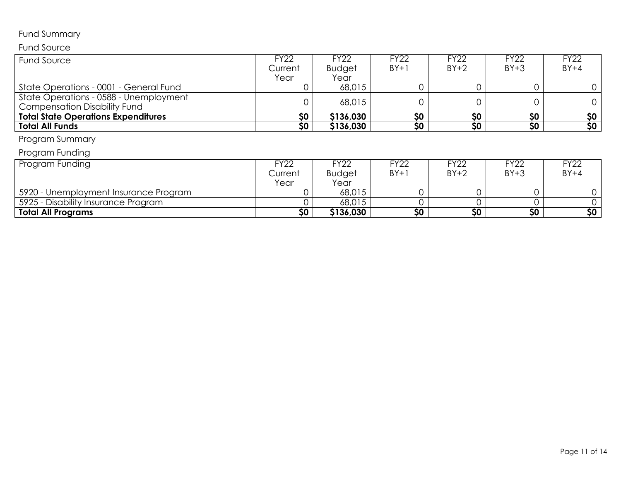# Fund Summary

# Fund Source

| <b>Fund Source</b>                         | <b>FY22</b> | <b>FY22</b>   | <b>FY22</b>     | <b>FY22</b> | <b>FY22</b>     | <b>FY22</b>     |  |
|--------------------------------------------|-------------|---------------|-----------------|-------------|-----------------|-----------------|--|
|                                            | Current     | <b>Budget</b> | $BY+1$          | $BY+2$      | $BY+3$          | $BY+4$          |  |
|                                            | Year        | Year          |                 |             |                 |                 |  |
| State Operations - 0001 - General Fund     |             | 68,015        | 0               |             | $\Omega$        |                 |  |
| State Operations - 0588 - Unemployment     |             | 68,015        | 0               |             | $\mathbf 0$     | 0               |  |
| <b>Compensation Disability Fund</b>        |             |               |                 |             |                 |                 |  |
| <b>Total State Operations Expenditures</b> | \$0         | \$136,030     | \$0             | \$0         | \$0             | \$0             |  |
| <b>Total All Funds</b>                     | 50          | \$136,030     | $\overline{50}$ | 50          | $\overline{50}$ | 50              |  |
| Program Summary                            |             |               |                 |             |                 |                 |  |
| Program Funding                            |             |               |                 |             |                 |                 |  |
| Program Funding                            | <b>FY22</b> | <b>FY22</b>   | <b>FY22</b>     | <b>FY22</b> | <b>FY22</b>     | <b>FY22</b>     |  |
|                                            | Current     | <b>Budget</b> | $BY+1$          | $BY+2$      | $BY+3$          | $BY+4$          |  |
|                                            | Year        | Year          |                 |             |                 |                 |  |
| 5920 - Unemployment Insurance Program      |             | 68,015        | 0               |             | $\overline{0}$  |                 |  |
| 5925 - Disability Insurance Program        |             | 68,015        |                 |             | $\Omega$        |                 |  |
| <b>Total All Programs</b>                  | \$0         | \$136,030     | \$0             | \$0         | \$0             | $\overline{50}$ |  |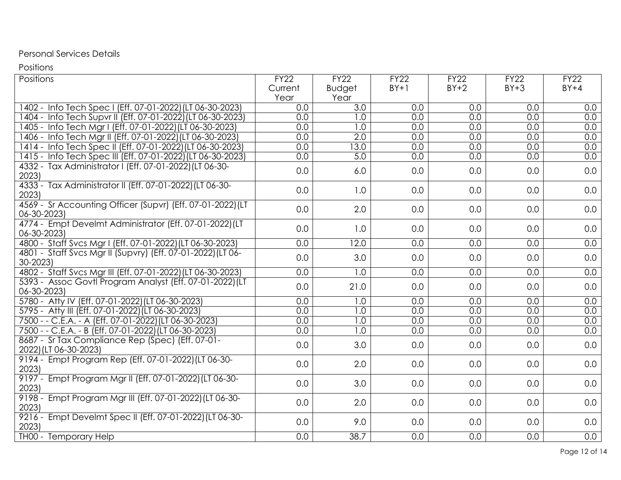#### Personal Services Details

Positions

| <b>Positions</b>                                                          | FY22             | FY22             | FY22             | FY22   | FY22   | FY22   |
|---------------------------------------------------------------------------|------------------|------------------|------------------|--------|--------|--------|
|                                                                           | Current          | <b>Budget</b>    | $BY+1$           | $BY+2$ | $BY+3$ | $BY+4$ |
|                                                                           | Year             | Year             |                  |        |        |        |
| 1402 - Info Tech Spec I (Eff. 07-01-2022) (LT 06-30-2023)                 | 0.0              | 3.0              | 0.0              | 0.0    | 0.0    | 0.0    |
| 1404 - Info Tech Supvr II (Eff. 07-01-2022) (LT 06-30-2023)               | 0.0              | 1.0              | 0.0              | 0.0    | 0.0    | 0.0    |
| 1405 - Info Tech Mgr I (Eff. 07-01-2022) (LT 06-30-2023)                  | 0.0              | 1.0              | 0.0              | 0.0    | 0.0    | 0.0    |
| 1406 - Info Tech Mgr II (Eff. 07-01-2022) (LT 06-30-2023)                 | $\overline{0.0}$ | 2.0              | $\overline{0.0}$ | 0.0    | 0.0    | 0.0    |
| 1414 - Info Tech Spec II (Eff. 07-01-2022) (LT 06-30-2023)                | 0.0              | 13.0             | 0.0              | 0.0    | 0.0    | 0.0    |
| 1415 - Info Tech Spec III (Eff. 07-01-2022) (LT 06-30-2023)               | 0.0              | 5.0              | 0.0              | 0.0    | 0.0    | 0.0    |
| 4332 - Tax Administrator   (Eff. 07-01-2022) (LT 06-30-<br>2023)          | 0.0              | 6.0              | 0.0              | 0.0    | 0.0    | 0.0    |
| 4333 - Tax Administrator II (Eff. 07-01-2022) (LT 06-30-<br>2023)         | 0.0              | 1.0              | 0.0              | 0.0    | 0.0    | 0.0    |
| 4569 - Sr Accounting Officer (Supvr) (Eff. 07-01-2022) (LT<br>06-30-2023) | 0.0              | 2.0              | 0.0              | 0.0    | 0.0    | 0.0    |
| 4774 - Empt Develmt Administrator (Eff. 07-01-2022) (LT<br>06-30-2023)    | 0.0              | 1.0              | 0.0              | 0.0    | 0.0    | 0.0    |
| 4800 - Staff Svcs Mgr I (Eff. 07-01-2022) (LT 06-30-2023)                 | 0.0              | 12.0             | 0.0              | 0.0    | 0.0    | 0.0    |
| 4801 - Staff Svcs Mgr II (Supvry) (Eff. 07-01-2022) (LT 06-<br>30-2023)   | 0.0              | 3.0              | 0.0              | 0.0    | 0.0    | 0.0    |
| 4802 - Staff Svcs Mgr III (Eff. 07-01-2022) (LT 06-30-2023)               | 0.0              | 1.0              | 0.0              | 0.0    | 0.0    | 0.0    |
| 5393 - Assoc Govtl Program Analyst (Eff. 07-01-2022) (LT<br>06-30-2023)   | 0.0              | 21.0             | 0.0              | 0.0    | 0.0    | 0.0    |
| 5780 - Atty IV (Eff. 07-01-2022) (LT 06-30-2023)                          | 0.0              | $\overline{1.0}$ | 0.0              | 0.0    | 0.0    | 0.0    |
| 5795 - Atty III (Eff. 07-01-2022) (LT 06-30-2023)                         | 0.0              | $\overline{1.0}$ | 0.0              | 0.0    | 0.0    | 0.0    |
| 7500 - - C.E.A. - A (Eff. 07-01-2022) (LT 06-30-2023)                     | 0.0              | $\overline{1.0}$ | 0.0              | 0.0    | 0.0    | 0.0    |
| 7500 - - C.E.A. - B (Eff. 07-01-2022) (LT 06-30-2023)                     | 0.0              | $\overline{1.0}$ | 0.0              | 0.0    | 0.0    | 0.0    |
| 8687 - Sr Tax Compliance Rep (Spec) (Eff. 07-01-<br>2022) (LT 06-30-2023) | 0.0              | 3.0              | 0.0              | 0.0    | 0.0    | 0.0    |
| 9194 - Empt Program Rep (Eff. 07-01-2022) (LT 06-30-<br>2023)             | 0.0              | 2.0              | 0.0              | 0.0    | 0.0    | 0.0    |
| 9197 - Empt Program Mgr II (Eff. 07-01-2022) (LT 06-30-<br>2023)          | 0.0              | 3.0              | 0.0              | 0.0    | 0.0    | 0.0    |
| 9198 - Empt Program Mgr III (Eff. 07-01-2022) (LT 06-30-<br>2023)         | 0.0              | 2.0              | 0.0              | 0.0    | 0.0    | 0.0    |
| 9216 - Empt Develmt Spec II (Eff. 07-01-2022) (LT 06-30-<br>2023)         | 0.0              | 9.0              | 0.0              | 0.0    | 0.0    | 0.0    |
| TH00 - Temporary Help                                                     | 0.0              | 38.7             | 0.0              | 0.0    | 0.0    | 0.0    |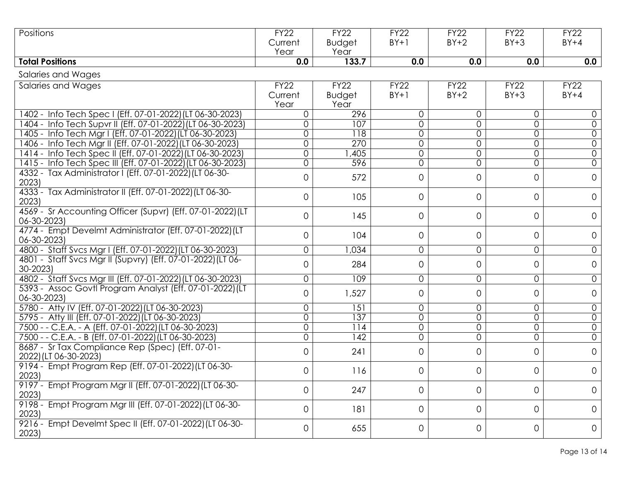| Positions                                                                  | FY22           | FY22             | FY22           | FY22           | FY22           | FY22                |
|----------------------------------------------------------------------------|----------------|------------------|----------------|----------------|----------------|---------------------|
|                                                                            | Current        | <b>Budget</b>    | $BY+1$         | $BY+2$         | $BY+3$         | $BY+4$              |
|                                                                            | Year           | Year             |                |                |                |                     |
| <b>Total Positions</b>                                                     | 0.0            | 133.7            | 0.0            | 0.0            | 0.0            | 0.0                 |
| Salaries and Wages                                                         |                |                  |                |                |                |                     |
| Salaries and Wages                                                         | <b>FY22</b>    | <b>FY22</b>      | <b>FY22</b>    | <b>FY22</b>    | <b>FY22</b>    | <b>FY22</b>         |
|                                                                            | Current        | <b>Budget</b>    | $BY+1$         | $BY+2$         | $BY+3$         | $BY+4$              |
|                                                                            | Year           | Year             |                |                |                |                     |
| 1402 - Info Tech Spec I (Eff. 07-01-2022) (LT 06-30-2023)                  | 0              | 296              | 0              | 0              | 0              | 0                   |
| 1404 - Info Tech Supvr II (Eff. 07-01-2022) (LT 06-30-2023)                | 0              | 107              | $\overline{O}$ | 0              | $\overline{0}$ | 0                   |
| 1405 - Info Tech Mgr I (Eff. 07-01-2022) (LT 06-30-2023)                   | 0              | 118              | $\overline{O}$ | 0              | $\mathbf 0$    | $\mathsf{O}\xspace$ |
| 1406 - Info Tech Mgr II (Eff. 07-01-2022) (LT 06-30-2023)                  | $\overline{0}$ | 270              | 0              | 0              | $\overline{0}$ | $\overline{0}$      |
| 1414 - Info Tech Spec II (Eff. 07-01-2022) (LT 06-30-2023)                 | $\overline{0}$ | ,405             | $\overline{0}$ | $\overline{0}$ | $\overline{0}$ | $\overline{0}$      |
| 1415 - Info Tech Spec III (Eff. 07-01-2022) (LT 06-30-2023)                | 0              | 596              | 0              | 0              | $\overline{0}$ | $\overline{0}$      |
| 4332 - Tax Administrator I (Eff. 07-01-2022) (LT 06-30-<br>2023)           | 0              | 572              | $\mathcal{O}$  | 0              | $\overline{0}$ | 0                   |
| 4333 - Tax Administrator II (Eff. 07-01-2022) (LT 06-30-<br>2023)          | 0              | 105              | $\mathcal{O}$  | $\mathcal{O}$  | $\overline{0}$ | $\overline{O}$      |
| 4569 - Sr Accounting Officer (Supvr) (Eff. 07-01-2022) (LT<br>06-30-2023)  | 0              | 145              | $\mathcal{O}$  | 0              | 0              | $\overline{O}$      |
| 4774 - Empt Develmt Administrator (Eff. 07-01-2022) (LT<br>06-30-2023)     | 0              | 104              | $\overline{O}$ | 0              | $\overline{0}$ | 0                   |
| 4800 - Staff Svcs Mgr I (Eff. 07-01-2022) (LT 06-30-2023)                  | 0              | 1,034            | 0              | 0              | 0              | $\overline{0}$      |
| 4801 - Staff Svcs Mgr II (Supvry) (Eff. 07-01-2022) (LT 06-<br>$30 - 2023$ | 0              | 284              | $\mathcal{O}$  | $\mathcal{O}$  | 0              | 0                   |
| 4802 - Staff Svcs Mgr III (Eff. 07-01-2022) (LT 06-30-2023)                | 0              | 109              | $\overline{O}$ | 0              | $\overline{O}$ | $\overline{O}$      |
| 5393 - Assoc Govtl Program Analyst (Eff. 07-01-2022) (LT<br>06-30-2023)    | 0              | 1,527            | $\overline{0}$ | 0              | $\mathsf{O}$   | 0                   |
| 5780 - Atty IV (Eff. 07-01-2022) (LT 06-30-2023)                           | 0              | $\overline{151}$ | 0              | 0              | $\mathsf{O}$   | $\overline{O}$      |
| 5795 - Atty III (Eff. 07-01-2022) (LT 06-30-2023)                          | $\overline{0}$ | $\overline{137}$ | $\overline{0}$ | $\overline{0}$ | $\overline{0}$ | $\overline{0}$      |
| 7500 - - C.E.A. - A (Eff. 07-01-2022) (LT 06-30-2023)                      | $\overline{0}$ | 114              | $\overline{0}$ | 0              | $\mathsf{O}$   | $\overline{0}$      |
| 7500 - - C.E.A. - B (Eff. 07-01-2022) (LT 06-30-2023)                      | 0              | $\overline{142}$ | 0              | 0              | $\mathbf 0$    | $\overline{O}$      |
| 8687 - Sr Tax Compliance Rep (Spec) (Eff. 07-01-                           |                |                  |                |                |                |                     |
| 2022) (LT 06-30-2023)                                                      | 0              | 241              | $\mathcal{O}$  | 0              | 0              | 0                   |
| 9194 - Empt Program Rep (Eff. 07-01-2022) (LT 06-30-<br>2023)              | 0              | 116              | 0              | 0              | $\overline{0}$ | $\mathsf{O}\xspace$ |
| 9197 - Empt Program Mgr II (Eff. 07-01-2022) (LT 06-30-<br>2023)           | 0              | 247              | 0              | 0              | 0              | 0                   |
| 9198 - Empt Program Mgr III (Eff. 07-01-2022) (LT 06-30-<br>2023)          | 0              | 181              | 0              | 0              | $\mathsf{O}$   | 0                   |
| 9216 - Empt Develmt Spec II (Eff. 07-01-2022) (LT 06-30-<br>2023)          | 0              | 655              | 0              | $\overline{0}$ | $\overline{0}$ | 0                   |